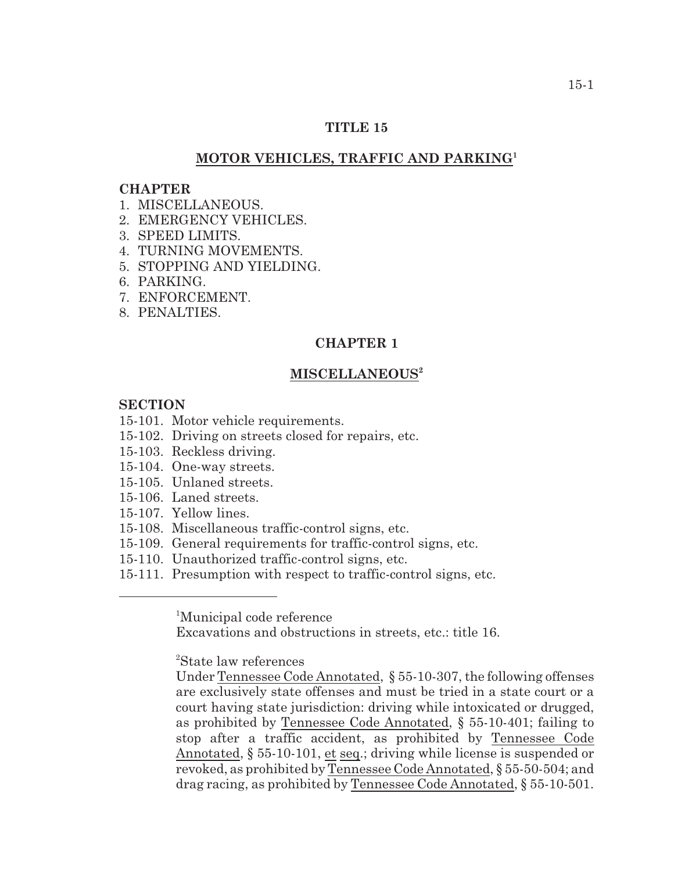## **TITLE 15**

## **MOTOR VEHICLES, TRAFFIC AND PARKING<sup>1</sup>**

#### **CHAPTER**

- 1. MISCELLANEOUS.
- 2. EMERGENCY VEHICLES.
- 3. SPEED LIMITS.
- 4. TURNING MOVEMENTS.
- 5. STOPPING AND YIELDING.
- 6. PARKING.
- 7. ENFORCEMENT.
- 8. PENALTIES.

## **CHAPTER 1**

## **MISCELLANEOUS 2**

#### **SECTION**

15-101. Motor vehicle requirements.

- 15-102. Driving on streets closed for repairs, etc.
- 15-103. Reckless driving.
- 15-104. One-way streets.
- 15-105. Unlaned streets.
- 15-106. Laned streets.
- 15-107. Yellow lines.
- 15-108. Miscellaneous traffic-control signs, etc.
- 15-109. General requirements for traffic-control signs, etc.
- 15-110. Unauthorized traffic-control signs, etc.
- 15-111. Presumption with respect to traffic-control signs, etc.

<sup>1</sup>Municipal code reference

Excavations and obstructions in streets, etc.: title 16.

<sup>2</sup>State law references

Under Tennessee Code Annotated, § 55-10-307, the following offenses are exclusively state offenses and must be tried in a state court or a court having state jurisdiction: driving while intoxicated or drugged, as prohibited by Tennessee Code Annotated, § 55-10-401; failing to stop after a traffic accident, as prohibited by Tennessee Code Annotated, § 55-10-101, et seq.; driving while license is suspended or revoked, as prohibited by Tennessee Code Annotated, § 55-50-504; and drag racing, as prohibited by Tennessee Code Annotated, § 55-10-501.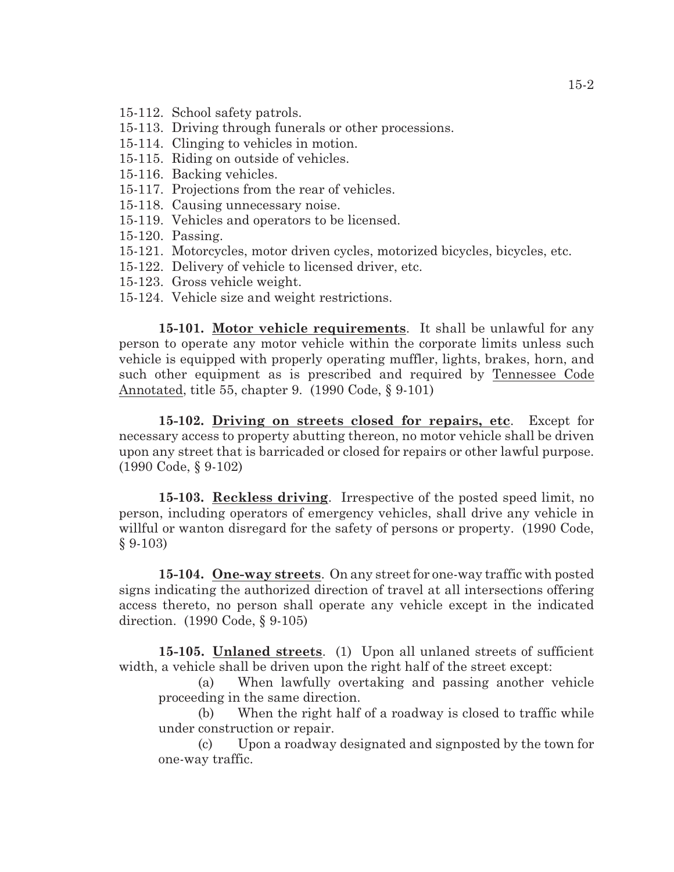- 15-112. School safety patrols.
- 15-113. Driving through funerals or other processions.
- 15-114. Clinging to vehicles in motion.
- 15-115. Riding on outside of vehicles.
- 15-116. Backing vehicles.
- 15-117. Projections from the rear of vehicles.
- 15-118. Causing unnecessary noise.
- 15-119. Vehicles and operators to be licensed.
- 15-120. Passing.
- 15-121. Motorcycles, motor driven cycles, motorized bicycles, bicycles, etc.
- 15-122. Delivery of vehicle to licensed driver, etc.
- 15-123. Gross vehicle weight.
- 15-124. Vehicle size and weight restrictions.

**15-101. Motor vehicle requirements**. It shall be unlawful for any person to operate any motor vehicle within the corporate limits unless such vehicle is equipped with properly operating muffler, lights, brakes, horn, and such other equipment as is prescribed and required by Tennessee Code Annotated, title 55, chapter 9. (1990 Code, § 9-101)

**15-102. Driving on streets closed for repairs, etc**. Except for necessary access to property abutting thereon, no motor vehicle shall be driven upon any street that is barricaded or closed for repairs or other lawful purpose. (1990 Code, § 9-102)

**15-103. Reckless driving**. Irrespective of the posted speed limit, no person, including operators of emergency vehicles, shall drive any vehicle in willful or wanton disregard for the safety of persons or property. (1990 Code, § 9-103)

**15-104. One-way streets**. On any street for one-way traffic with posted signs indicating the authorized direction of travel at all intersections offering access thereto, no person shall operate any vehicle except in the indicated direction. (1990 Code, § 9-105)

**15-105. Unlaned streets**. (1) Upon all unlaned streets of sufficient width, a vehicle shall be driven upon the right half of the street except:

(a) When lawfully overtaking and passing another vehicle proceeding in the same direction.

(b) When the right half of a roadway is closed to traffic while under construction or repair.

(c) Upon a roadway designated and signposted by the town for one-way traffic.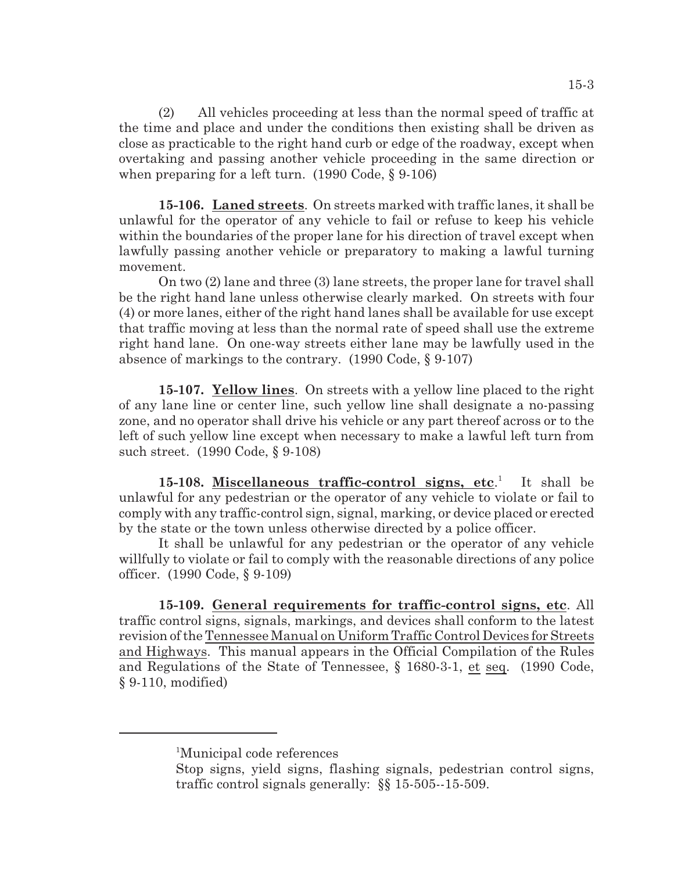(2) All vehicles proceeding at less than the normal speed of traffic at the time and place and under the conditions then existing shall be driven as close as practicable to the right hand curb or edge of the roadway, except when overtaking and passing another vehicle proceeding in the same direction or when preparing for a left turn. (1990 Code, § 9-106)

**15-106. Laned streets**. On streets marked with traffic lanes, it shall be unlawful for the operator of any vehicle to fail or refuse to keep his vehicle within the boundaries of the proper lane for his direction of travel except when lawfully passing another vehicle or preparatory to making a lawful turning movement.

On two (2) lane and three (3) lane streets, the proper lane for travel shall be the right hand lane unless otherwise clearly marked. On streets with four (4) or more lanes, either of the right hand lanes shall be available for use except that traffic moving at less than the normal rate of speed shall use the extreme right hand lane. On one-way streets either lane may be lawfully used in the absence of markings to the contrary. (1990 Code, § 9-107)

**15-107. Yellow lines**. On streets with a yellow line placed to the right of any lane line or center line, such yellow line shall designate a no-passing zone, and no operator shall drive his vehicle or any part thereof across or to the left of such yellow line except when necessary to make a lawful left turn from such street. (1990 Code, § 9-108)

**15-108.** Miscellaneous traffic-control signs, etc.<sup>1</sup> It shall be unlawful for any pedestrian or the operator of any vehicle to violate or fail to comply with any traffic-control sign, signal, marking, or device placed or erected by the state or the town unless otherwise directed by a police officer.

It shall be unlawful for any pedestrian or the operator of any vehicle willfully to violate or fail to comply with the reasonable directions of any police officer. (1990 Code, § 9-109)

**15-109. General requirements for traffic-control signs, etc**. All traffic control signs, signals, markings, and devices shall conform to the latest revision of the Tennessee Manual on Uniform Traffic Control Devices for Streets and Highways. This manual appears in the Official Compilation of the Rules and Regulations of the State of Tennessee, § 1680-3-1, et seq. (1990 Code, § 9-110, modified)

<sup>&</sup>lt;sup>1</sup>Municipal code references

Stop signs, yield signs, flashing signals, pedestrian control signs, traffic control signals generally: §§ 15-505--15-509.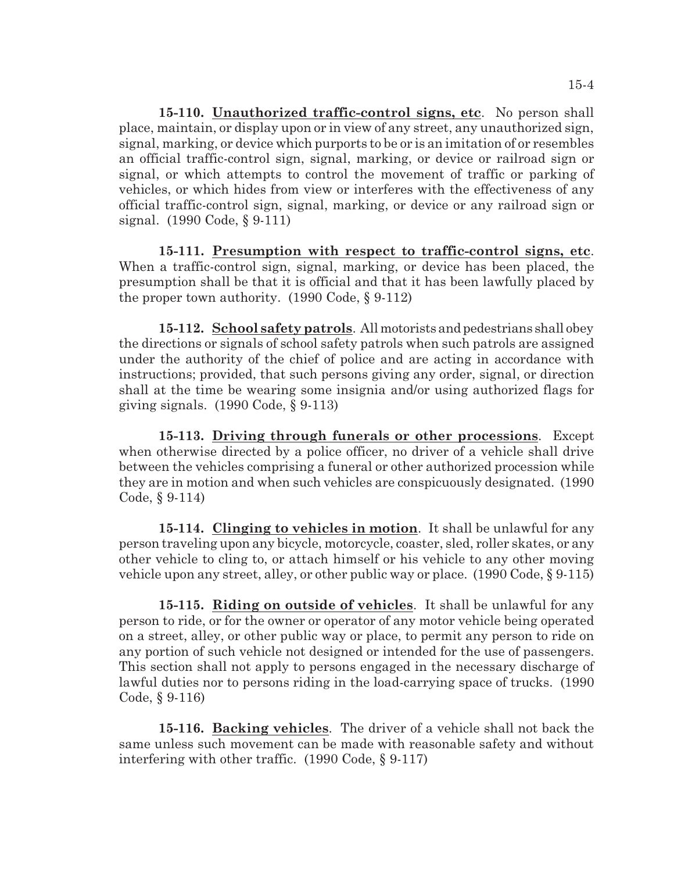**15-110. Unauthorized traffic-control signs, etc**. No person shall place, maintain, or display upon or in view of any street, any unauthorized sign, signal, marking, or device which purports to be or is an imitation of or resembles an official traffic-control sign, signal, marking, or device or railroad sign or signal, or which attempts to control the movement of traffic or parking of vehicles, or which hides from view or interferes with the effectiveness of any official traffic-control sign, signal, marking, or device or any railroad sign or signal. (1990 Code, § 9-111)

**15-111. Presumption with respect to traffic-control signs, etc**. When a traffic-control sign, signal, marking, or device has been placed, the presumption shall be that it is official and that it has been lawfully placed by the proper town authority.  $(1990 \text{ Code}, \S 9-112)$ 

**15-112. School safety patrols**. All motorists andpedestrians shall obey the directions or signals of school safety patrols when such patrols are assigned under the authority of the chief of police and are acting in accordance with instructions; provided, that such persons giving any order, signal, or direction shall at the time be wearing some insignia and/or using authorized flags for giving signals.  $(1990 \text{ Code}, \S 9-113)$ 

**15-113. Driving through funerals or other processions**. Except when otherwise directed by a police officer, no driver of a vehicle shall drive between the vehicles comprising a funeral or other authorized procession while they are in motion and when such vehicles are conspicuously designated. (1990 Code, § 9-114)

**15-114. Clinging to vehicles in motion**. It shall be unlawful for any person traveling upon any bicycle, motorcycle, coaster, sled, roller skates, or any other vehicle to cling to, or attach himself or his vehicle to any other moving vehicle upon any street, alley, or other public way or place. (1990 Code, § 9-115)

**15-115. Riding on outside of vehicles**. It shall be unlawful for any person to ride, or for the owner or operator of any motor vehicle being operated on a street, alley, or other public way or place, to permit any person to ride on any portion of such vehicle not designed or intended for the use of passengers. This section shall not apply to persons engaged in the necessary discharge of lawful duties nor to persons riding in the load-carrying space of trucks. (1990 Code, § 9-116)

**15-116. Backing vehicles**. The driver of a vehicle shall not back the same unless such movement can be made with reasonable safety and without interfering with other traffic. (1990 Code, § 9-117)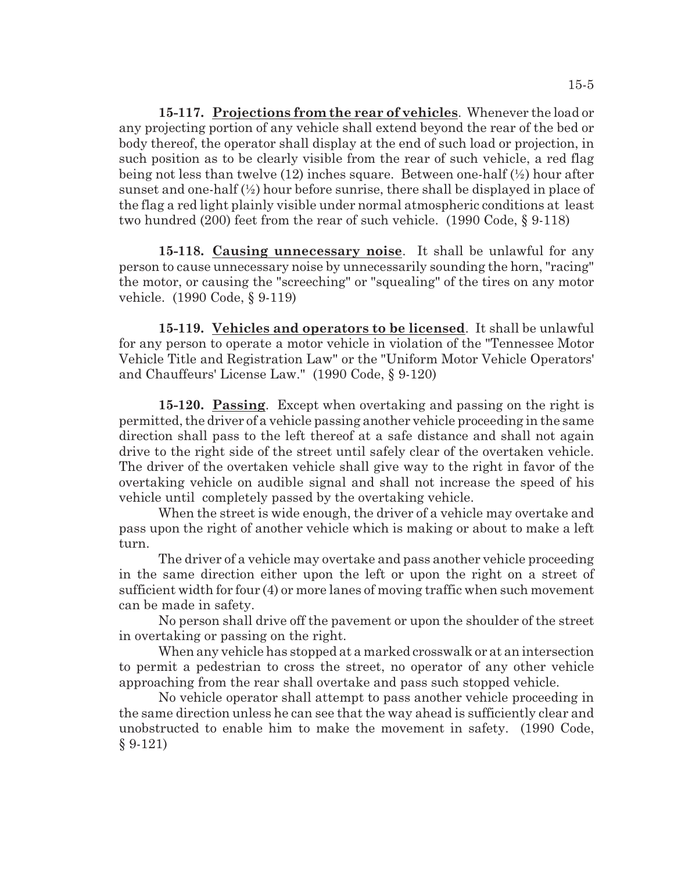**15-117. Projections from the rear of vehicles**. Whenever the load or any projecting portion of any vehicle shall extend beyond the rear of the bed or body thereof, the operator shall display at the end of such load or projection, in such position as to be clearly visible from the rear of such vehicle, a red flag being not less than twelve (12) inches square. Between one-half (½) hour after sunset and one-half  $(\frac{1}{2})$  hour before sunrise, there shall be displayed in place of the flag a red light plainly visible under normal atmospheric conditions at least two hundred (200) feet from the rear of such vehicle. (1990 Code, § 9-118)

**15-118. Causing unnecessary noise**. It shall be unlawful for any person to cause unnecessary noise by unnecessarily sounding the horn, "racing" the motor, or causing the "screeching" or "squealing" of the tires on any motor vehicle. (1990 Code, § 9-119)

**15-119. Vehicles and operators to be licensed**. It shall be unlawful for any person to operate a motor vehicle in violation of the "Tennessee Motor Vehicle Title and Registration Law" or the "Uniform Motor Vehicle Operators' and Chauffeurs' License Law." (1990 Code, § 9-120)

**15-120. Passing**. Except when overtaking and passing on the right is permitted, the driver of a vehicle passing another vehicle proceeding in the same direction shall pass to the left thereof at a safe distance and shall not again drive to the right side of the street until safely clear of the overtaken vehicle. The driver of the overtaken vehicle shall give way to the right in favor of the overtaking vehicle on audible signal and shall not increase the speed of his vehicle until completely passed by the overtaking vehicle.

When the street is wide enough, the driver of a vehicle may overtake and pass upon the right of another vehicle which is making or about to make a left turn.

The driver of a vehicle may overtake and pass another vehicle proceeding in the same direction either upon the left or upon the right on a street of sufficient width for four (4) or more lanes of moving traffic when such movement can be made in safety.

No person shall drive off the pavement or upon the shoulder of the street in overtaking or passing on the right.

When any vehicle has stopped at a marked crosswalk or at an intersection to permit a pedestrian to cross the street, no operator of any other vehicle approaching from the rear shall overtake and pass such stopped vehicle.

No vehicle operator shall attempt to pass another vehicle proceeding in the same direction unless he can see that the way ahead is sufficiently clear and unobstructed to enable him to make the movement in safety. (1990 Code, § 9-121)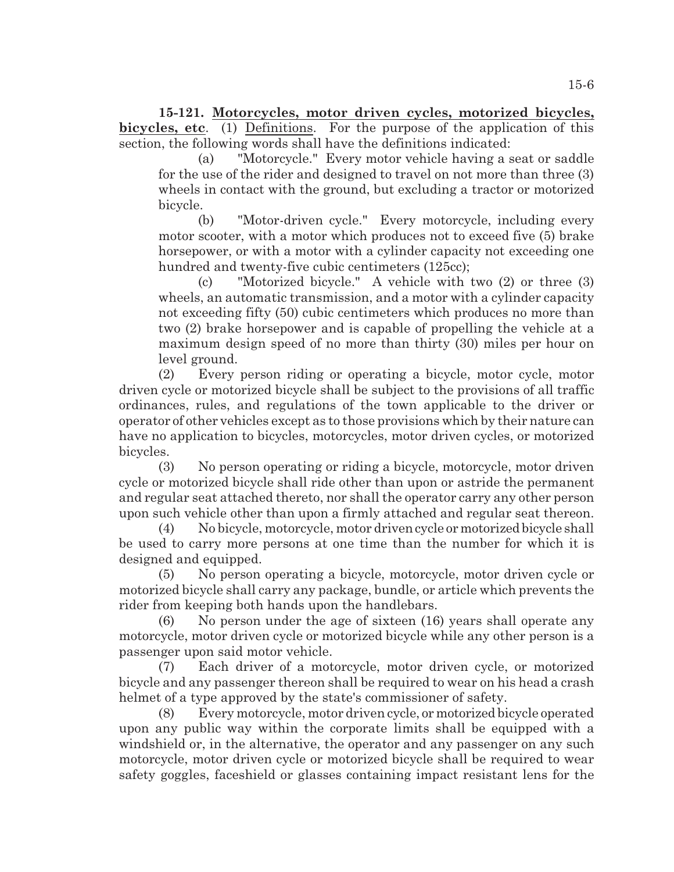**15-121. Motorcycles, motor driven cycles, motorized bicycles, bicycles, etc**. (1) Definitions. For the purpose of the application of this section, the following words shall have the definitions indicated:

(a) "Motorcycle." Every motor vehicle having a seat or saddle for the use of the rider and designed to travel on not more than three (3) wheels in contact with the ground, but excluding a tractor or motorized bicycle.

(b) "Motor-driven cycle." Every motorcycle, including every motor scooter, with a motor which produces not to exceed five (5) brake horsepower, or with a motor with a cylinder capacity not exceeding one hundred and twenty-five cubic centimeters (125cc);

(c) "Motorized bicycle." A vehicle with two (2) or three (3) wheels, an automatic transmission, and a motor with a cylinder capacity not exceeding fifty (50) cubic centimeters which produces no more than two (2) brake horsepower and is capable of propelling the vehicle at a maximum design speed of no more than thirty (30) miles per hour on level ground.

(2) Every person riding or operating a bicycle, motor cycle, motor driven cycle or motorized bicycle shall be subject to the provisions of all traffic ordinances, rules, and regulations of the town applicable to the driver or operator of other vehicles except as to those provisions which by their nature can have no application to bicycles, motorcycles, motor driven cycles, or motorized bicycles.

(3) No person operating or riding a bicycle, motorcycle, motor driven cycle or motorized bicycle shall ride other than upon or astride the permanent and regular seat attached thereto, nor shall the operator carry any other person upon such vehicle other than upon a firmly attached and regular seat thereon.

(4) No bicycle, motorcycle, motor driven cycle or motorized bicycle shall be used to carry more persons at one time than the number for which it is designed and equipped.

(5) No person operating a bicycle, motorcycle, motor driven cycle or motorized bicycle shall carry any package, bundle, or article which prevents the rider from keeping both hands upon the handlebars.

(6) No person under the age of sixteen (16) years shall operate any motorcycle, motor driven cycle or motorized bicycle while any other person is a passenger upon said motor vehicle.

(7) Each driver of a motorcycle, motor driven cycle, or motorized bicycle and any passenger thereon shall be required to wear on his head a crash helmet of a type approved by the state's commissioner of safety.

(8) Every motorcycle, motor driven cycle, ormotorized bicycle operated upon any public way within the corporate limits shall be equipped with a windshield or, in the alternative, the operator and any passenger on any such motorcycle, motor driven cycle or motorized bicycle shall be required to wear safety goggles, faceshield or glasses containing impact resistant lens for the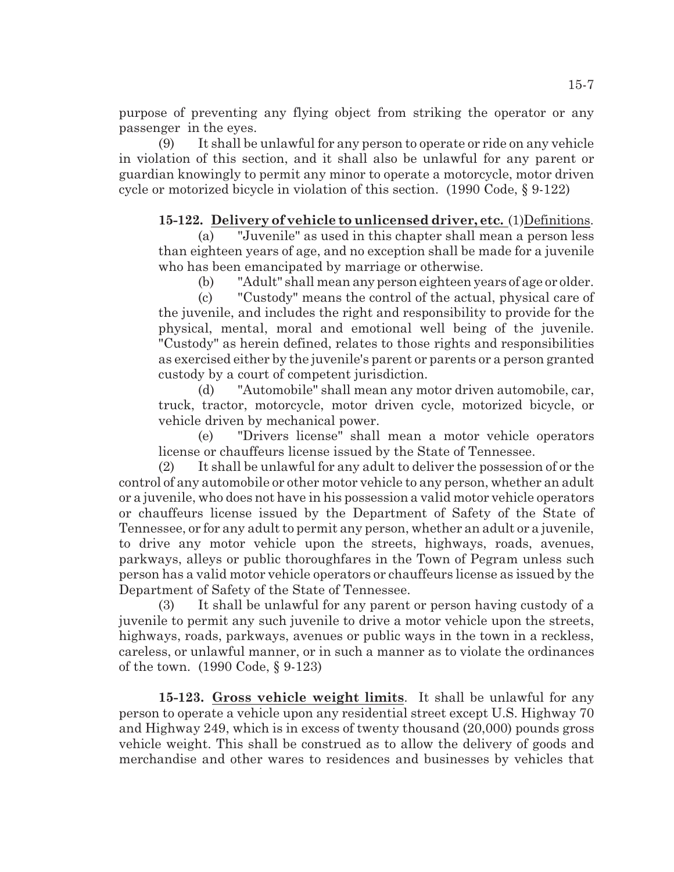purpose of preventing any flying object from striking the operator or any passenger in the eyes.

(9) It shall be unlawful for any person to operate or ride on any vehicle in violation of this section, and it shall also be unlawful for any parent or guardian knowingly to permit any minor to operate a motorcycle, motor driven cycle or motorized bicycle in violation of this section. (1990 Code, § 9-122)

# **15-122. Delivery of vehicle to unlicensed driver, etc.** (1)Definitions.

(a) "Juvenile" as used in this chapter shall mean a person less than eighteen years of age, and no exception shall be made for a juvenile who has been emancipated by marriage or otherwise.

(b) "Adult" shall mean any person eighteen years of age or older.

(c) "Custody" means the control of the actual, physical care of the juvenile, and includes the right and responsibility to provide for the physical, mental, moral and emotional well being of the juvenile. "Custody" as herein defined, relates to those rights and responsibilities as exercised either by the juvenile's parent or parents or a person granted custody by a court of competent jurisdiction.

(d) "Automobile" shall mean any motor driven automobile, car, truck, tractor, motorcycle, motor driven cycle, motorized bicycle, or vehicle driven by mechanical power.

(e) "Drivers license" shall mean a motor vehicle operators license or chauffeurs license issued by the State of Tennessee.

(2) It shall be unlawful for any adult to deliver the possession of or the control of any automobile or other motor vehicle to any person, whether an adult or a juvenile, who does not have in his possession a valid motor vehicle operators or chauffeurs license issued by the Department of Safety of the State of Tennessee, or for any adult to permit any person, whether an adult or a juvenile, to drive any motor vehicle upon the streets, highways, roads, avenues, parkways, alleys or public thoroughfares in the Town of Pegram unless such person has a valid motor vehicle operators or chauffeurs license as issued by the Department of Safety of the State of Tennessee.

(3) It shall be unlawful for any parent or person having custody of a juvenile to permit any such juvenile to drive a motor vehicle upon the streets, highways, roads, parkways, avenues or public ways in the town in a reckless, careless, or unlawful manner, or in such a manner as to violate the ordinances of the town. (1990 Code, § 9-123)

**15-123. Gross vehicle weight limits**. It shall be unlawful for any person to operate a vehicle upon any residential street except U.S. Highway 70 and Highway 249, which is in excess of twenty thousand (20,000) pounds gross vehicle weight. This shall be construed as to allow the delivery of goods and merchandise and other wares to residences and businesses by vehicles that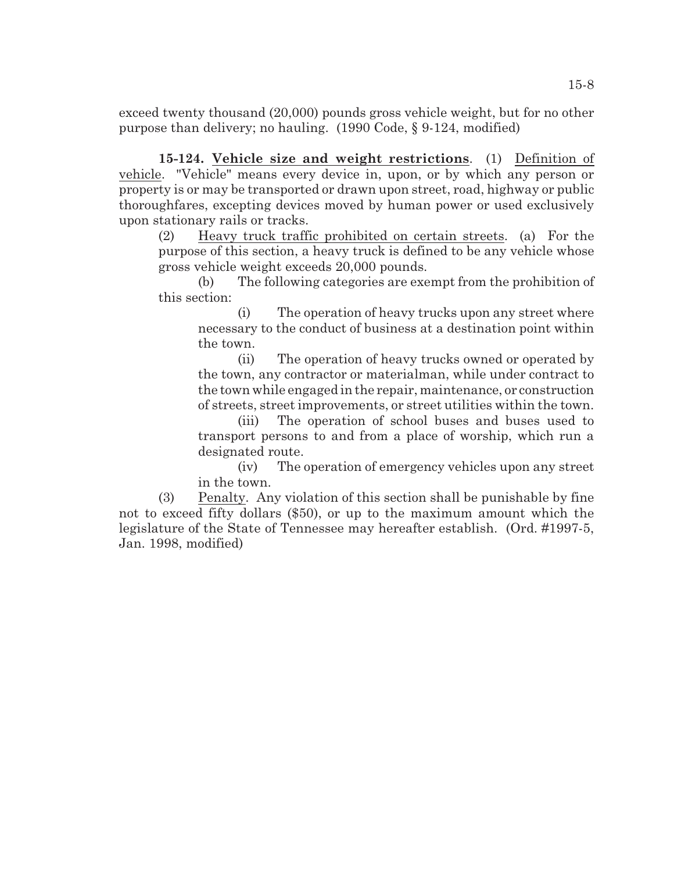exceed twenty thousand (20,000) pounds gross vehicle weight, but for no other purpose than delivery; no hauling. (1990 Code, § 9-124, modified)

**15-124. Vehicle size and weight restrictions**. (1) Definition of vehicle. "Vehicle" means every device in, upon, or by which any person or property is or may be transported or drawn upon street, road, highway or public thoroughfares, excepting devices moved by human power or used exclusively upon stationary rails or tracks.

(2) Heavy truck traffic prohibited on certain streets. (a) For the purpose of this section, a heavy truck is defined to be any vehicle whose gross vehicle weight exceeds 20,000 pounds.

(b) The following categories are exempt from the prohibition of this section:

(i) The operation of heavy trucks upon any street where necessary to the conduct of business at a destination point within the town.

(ii) The operation of heavy trucks owned or operated by the town, any contractor or materialman, while under contract to the town while engaged in the repair, maintenance, or construction of streets, street improvements, or street utilities within the town.

(iii) The operation of school buses and buses used to transport persons to and from a place of worship, which run a designated route.

(iv) The operation of emergency vehicles upon any street in the town.

(3) Penalty. Any violation of this section shall be punishable by fine not to exceed fifty dollars (\$50), or up to the maximum amount which the legislature of the State of Tennessee may hereafter establish. (Ord. #1997-5, Jan. 1998, modified)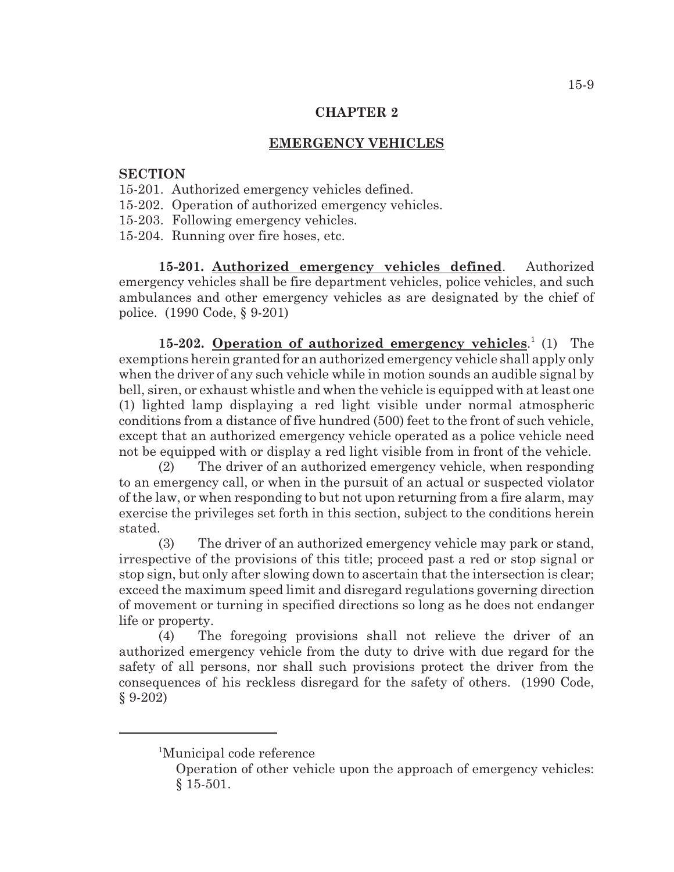## **EMERGENCY VEHICLES**

#### **SECTION**

- 15-201. Authorized emergency vehicles defined.
- 15-202. Operation of authorized emergency vehicles.
- 15-203. Following emergency vehicles.
- 15-204. Running over fire hoses, etc.

**15-201. Authorized emergency vehicles defined**. Authorized emergency vehicles shall be fire department vehicles, police vehicles, and such ambulances and other emergency vehicles as are designated by the chief of police. (1990 Code, § 9-201)

15-202. **Operation of authorized emergency vehicles.**<sup>1</sup> (1) The exemptions herein granted for an authorized emergency vehicle shall apply only when the driver of any such vehicle while in motion sounds an audible signal by bell, siren, or exhaust whistle and when the vehicle is equipped with at least one (1) lighted lamp displaying a red light visible under normal atmospheric conditions from a distance of five hundred (500) feet to the front of such vehicle, except that an authorized emergency vehicle operated as a police vehicle need not be equipped with or display a red light visible from in front of the vehicle.

(2) The driver of an authorized emergency vehicle, when responding to an emergency call, or when in the pursuit of an actual or suspected violator of the law, or when responding to but not upon returning from a fire alarm, may exercise the privileges set forth in this section, subject to the conditions herein stated.

(3) The driver of an authorized emergency vehicle may park or stand, irrespective of the provisions of this title; proceed past a red or stop signal or stop sign, but only after slowing down to ascertain that the intersection is clear; exceed the maximum speed limit and disregard regulations governing direction of movement or turning in specified directions so long as he does not endanger life or property.

(4) The foregoing provisions shall not relieve the driver of an authorized emergency vehicle from the duty to drive with due regard for the safety of all persons, nor shall such provisions protect the driver from the consequences of his reckless disregard for the safety of others. (1990 Code, § 9-202)

<sup>&</sup>lt;sup>1</sup>Municipal code reference

Operation of other vehicle upon the approach of emergency vehicles: § 15-501.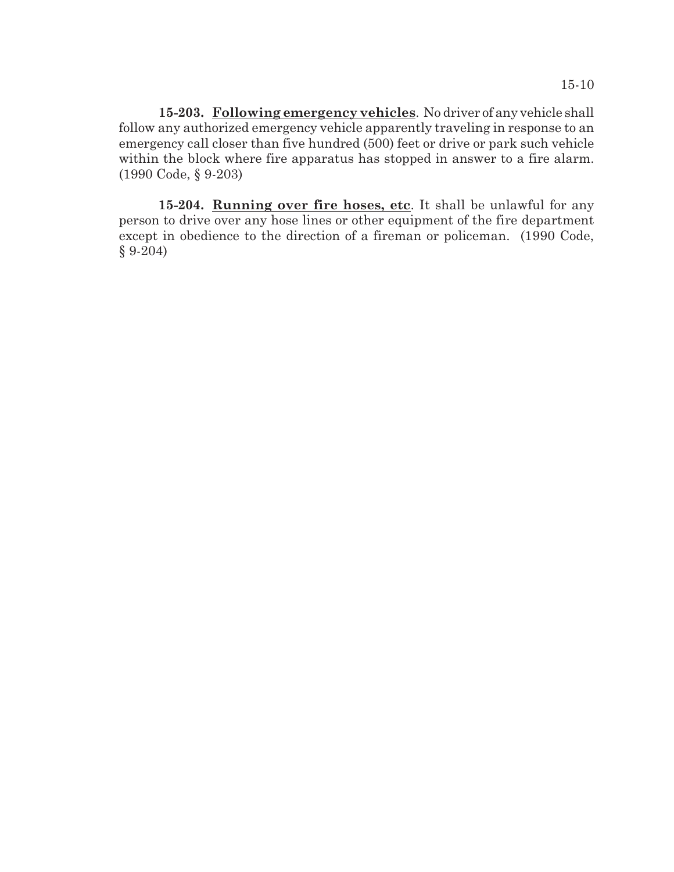**15-203. Following emergency vehicles**. No driver of any vehicle shall follow any authorized emergency vehicle apparently traveling in response to an emergency call closer than five hundred (500) feet or drive or park such vehicle within the block where fire apparatus has stopped in answer to a fire alarm. (1990 Code, § 9-203)

**15-204. Running over fire hoses, etc**. It shall be unlawful for any person to drive over any hose lines or other equipment of the fire department except in obedience to the direction of a fireman or policeman. (1990 Code, § 9-204)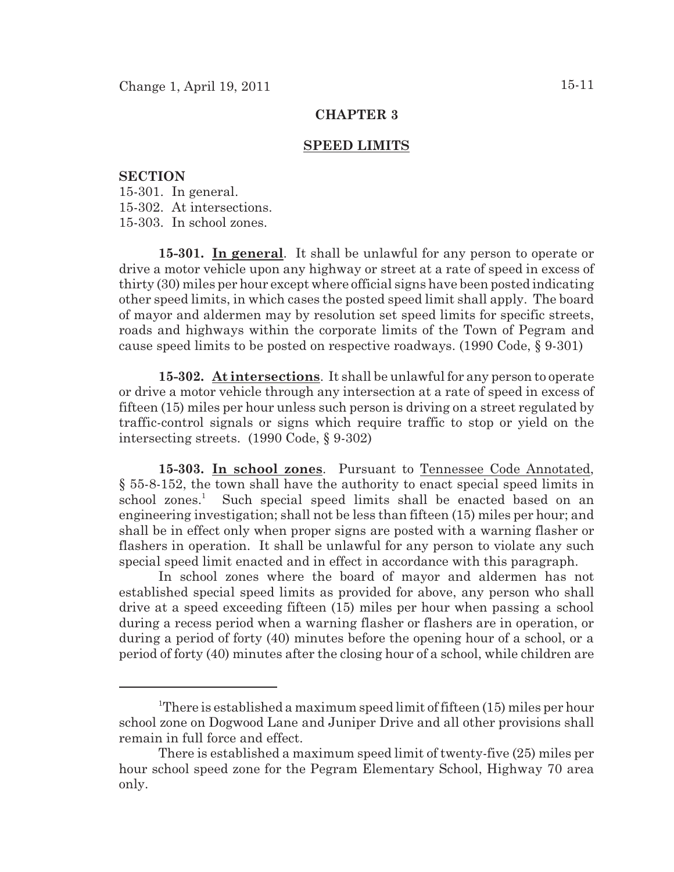#### **SPEED LIMITS**

### **SECTION**

15-301. In general. 15-302. At intersections. 15-303. In school zones.

**15-301. In general**. It shall be unlawful for any person to operate or drive a motor vehicle upon any highway or street at a rate of speed in excess of thirty (30) miles per hour except where official signs have been posted indicating other speed limits, in which cases the posted speed limit shall apply. The board of mayor and aldermen may by resolution set speed limits for specific streets, roads and highways within the corporate limits of the Town of Pegram and cause speed limits to be posted on respective roadways. (1990 Code, § 9-301)

**15-302. At intersections**. It shall be unlawful for any person to operate or drive a motor vehicle through any intersection at a rate of speed in excess of fifteen (15) miles per hour unless such person is driving on a street regulated by traffic-control signals or signs which require traffic to stop or yield on the intersecting streets. (1990 Code, § 9-302)

**15-303. In school zones**. Pursuant to Tennessee Code Annotated, § 55-8-152, the town shall have the authority to enact special speed limits in school zones.<sup>1</sup> Such special speed limits shall be enacted based on an engineering investigation; shall not be less than fifteen (15) miles per hour; and shall be in effect only when proper signs are posted with a warning flasher or flashers in operation. It shall be unlawful for any person to violate any such special speed limit enacted and in effect in accordance with this paragraph.

In school zones where the board of mayor and aldermen has not established special speed limits as provided for above, any person who shall drive at a speed exceeding fifteen (15) miles per hour when passing a school during a recess period when a warning flasher or flashers are in operation, or during a period of forty (40) minutes before the opening hour of a school, or a period of forty (40) minutes after the closing hour of a school, while children are

<sup>&</sup>lt;sup>1</sup>There is established a maximum speed limit of fifteen  $(15)$  miles per hour school zone on Dogwood Lane and Juniper Drive and all other provisions shall remain in full force and effect.

There is established a maximum speed limit of twenty-five (25) miles per hour school speed zone for the Pegram Elementary School, Highway 70 area only.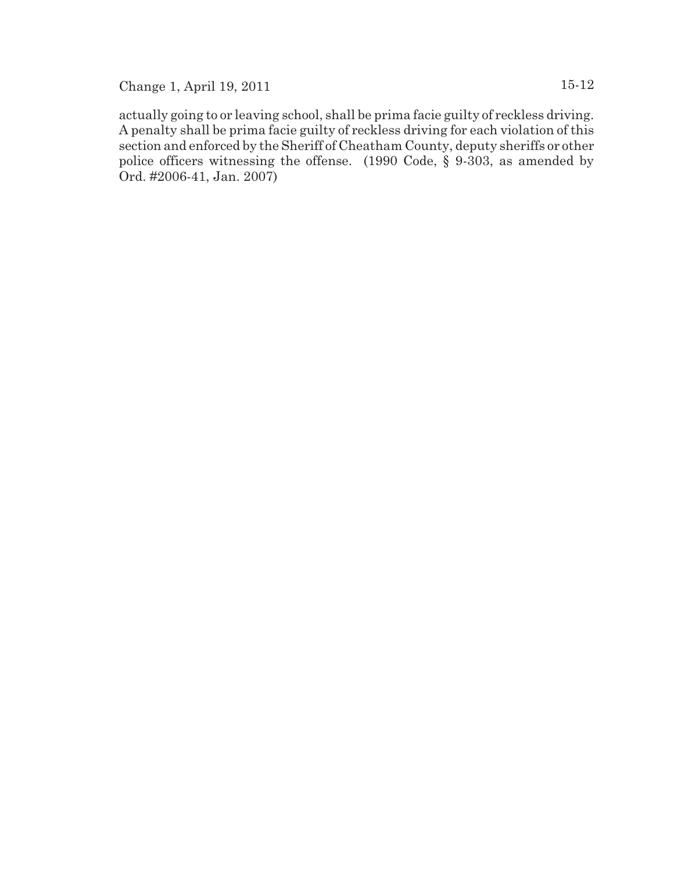Change 1, April 19, 2011 15-12

actually going to or leaving school, shall be prima facie guilty of reckless driving. A penalty shall be prima facie guilty of reckless driving for each violation of this section and enforced by the Sheriff of Cheatham County, deputy sheriffs or other police officers witnessing the offense. (1990 Code, § 9-303, as amended by Ord. #2006-41, Jan. 2007)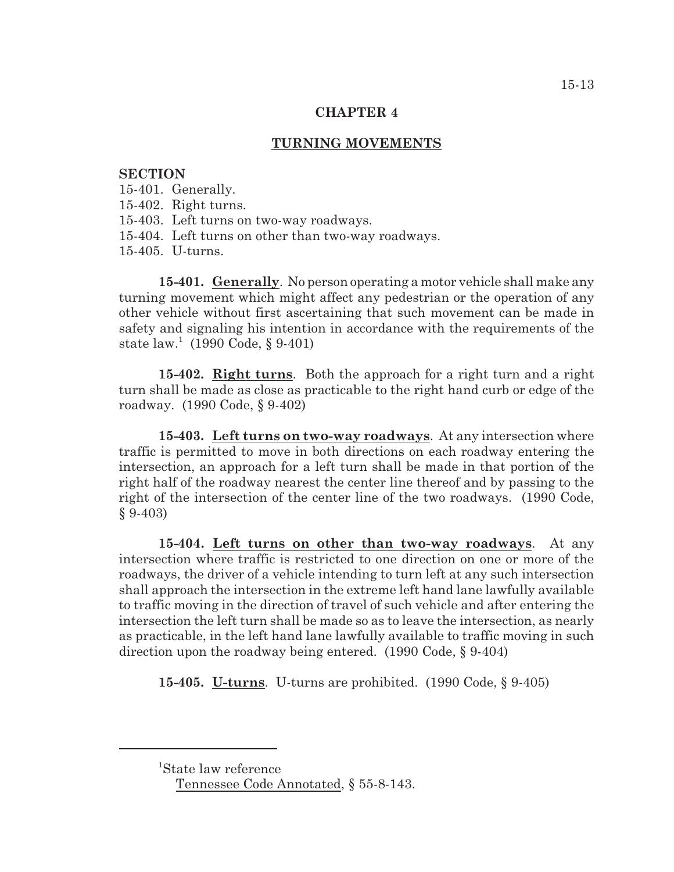### **TURNING MOVEMENTS**

#### **SECTION**

- 15-401. Generally.
- 15-402. Right turns.
- 15-403. Left turns on two-way roadways.
- 15-404. Left turns on other than two-way roadways.
- 15-405. U-turns.

**15-401. Generally**. No person operating a motor vehicle shall make any turning movement which might affect any pedestrian or the operation of any other vehicle without first ascertaining that such movement can be made in safety and signaling his intention in accordance with the requirements of the state  $law^1$  (1990 Code, § 9-401)

**15-402. Right turns**. Both the approach for a right turn and a right turn shall be made as close as practicable to the right hand curb or edge of the roadway. (1990 Code, § 9-402)

**15-403. Left turns on two-way roadways**. At any intersection where traffic is permitted to move in both directions on each roadway entering the intersection, an approach for a left turn shall be made in that portion of the right half of the roadway nearest the center line thereof and by passing to the right of the intersection of the center line of the two roadways. (1990 Code, § 9-403)

**15-404. Left turns on other than two-way roadways**. At any intersection where traffic is restricted to one direction on one or more of the roadways, the driver of a vehicle intending to turn left at any such intersection shall approach the intersection in the extreme left hand lane lawfully available to traffic moving in the direction of travel of such vehicle and after entering the intersection the left turn shall be made so as to leave the intersection, as nearly as practicable, in the left hand lane lawfully available to traffic moving in such direction upon the roadway being entered. (1990 Code, § 9-404)

**15-405. U-turns**. U-turns are prohibited. (1990 Code, § 9-405)

<sup>&</sup>lt;sup>1</sup>State law reference

Tennessee Code Annotated, § 55-8-143.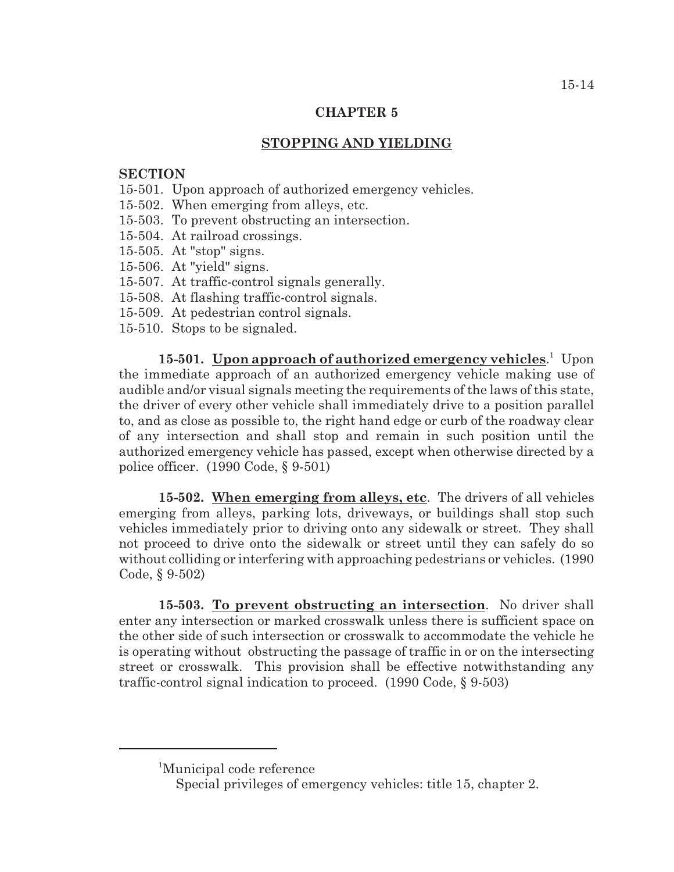# **STOPPING AND YIELDING**

## **SECTION**

- 15-501. Upon approach of authorized emergency vehicles.
- 15-502. When emerging from alleys, etc.
- 15-503. To prevent obstructing an intersection.
- 15-504. At railroad crossings.
- 15-505. At "stop" signs.
- 15-506. At "yield" signs.
- 15-507. At traffic-control signals generally.
- 15-508. At flashing traffic-control signals.
- 15-509. At pedestrian control signals.
- 15-510. Stops to be signaled.

**15-501. Upon approach of authorized emergency vehicles.** Upon the immediate approach of an authorized emergency vehicle making use of audible and/or visual signals meeting the requirements of the laws of this state, the driver of every other vehicle shall immediately drive to a position parallel to, and as close as possible to, the right hand edge or curb of the roadway clear of any intersection and shall stop and remain in such position until the authorized emergency vehicle has passed, except when otherwise directed by a police officer. (1990 Code, § 9-501)

**15-502. When emerging from alleys, etc**. The drivers of all vehicles emerging from alleys, parking lots, driveways, or buildings shall stop such vehicles immediately prior to driving onto any sidewalk or street. They shall not proceed to drive onto the sidewalk or street until they can safely do so without colliding or interfering with approaching pedestrians or vehicles. (1990 Code, § 9-502)

**15-503. To prevent obstructing an intersection**. No driver shall enter any intersection or marked crosswalk unless there is sufficient space on the other side of such intersection or crosswalk to accommodate the vehicle he is operating without obstructing the passage of traffic in or on the intersecting street or crosswalk. This provision shall be effective notwithstanding any traffic-control signal indication to proceed. (1990 Code, § 9-503)

<sup>&</sup>lt;sup>1</sup>Municipal code reference

Special privileges of emergency vehicles: title 15, chapter 2.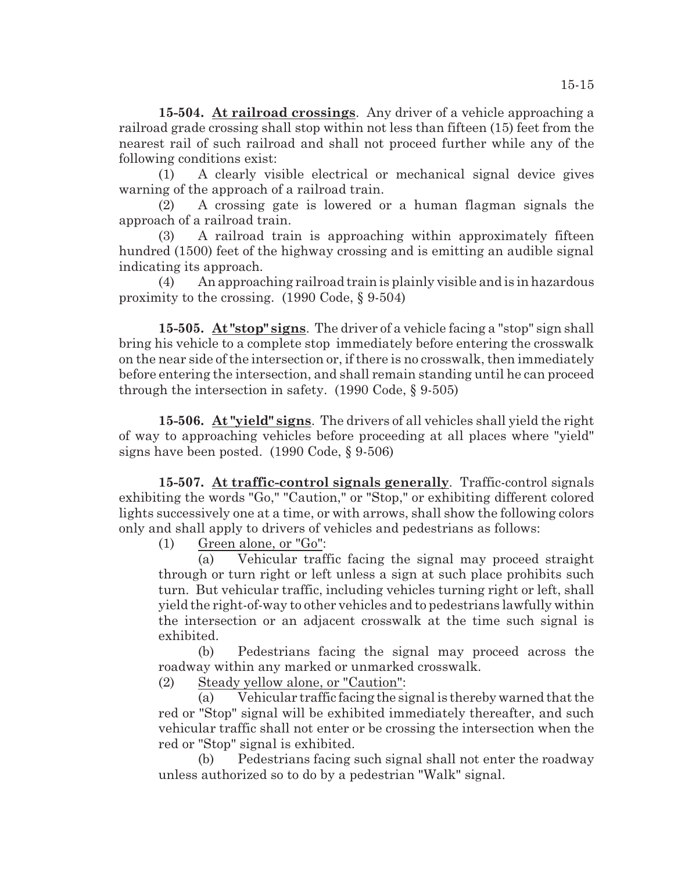**15-504. At railroad crossings**. Any driver of a vehicle approaching a railroad grade crossing shall stop within not less than fifteen (15) feet from the nearest rail of such railroad and shall not proceed further while any of the following conditions exist:

(1) A clearly visible electrical or mechanical signal device gives warning of the approach of a railroad train.

(2) A crossing gate is lowered or a human flagman signals the approach of a railroad train.

(3) A railroad train is approaching within approximately fifteen hundred (1500) feet of the highway crossing and is emitting an audible signal indicating its approach.

(4) An approaching railroad train is plainly visible and is in hazardous proximity to the crossing. (1990 Code, § 9-504)

**15-505. At "stop" signs**. The driver of a vehicle facing a "stop" sign shall bring his vehicle to a complete stop immediately before entering the crosswalk on the near side of the intersection or, if there is no crosswalk, then immediately before entering the intersection, and shall remain standing until he can proceed through the intersection in safety. (1990 Code, § 9-505)

**15-506. At "yield" signs**. The drivers of all vehicles shall yield the right of way to approaching vehicles before proceeding at all places where "yield" signs have been posted. (1990 Code, § 9-506)

**15-507. At traffic-control signals generally**. Traffic-control signals exhibiting the words "Go," "Caution," or "Stop," or exhibiting different colored lights successively one at a time, or with arrows, shall show the following colors only and shall apply to drivers of vehicles and pedestrians as follows:

(1) Green alone, or "Go":

(a) Vehicular traffic facing the signal may proceed straight through or turn right or left unless a sign at such place prohibits such turn. But vehicular traffic, including vehicles turning right or left, shall yield the right-of-way to other vehicles and to pedestrians lawfully within the intersection or an adjacent crosswalk at the time such signal is exhibited.

(b) Pedestrians facing the signal may proceed across the roadway within any marked or unmarked crosswalk.

(2) Steady yellow alone, or "Caution":

(a) Vehicular traffic facing the signal is thereby warned that the red or "Stop" signal will be exhibited immediately thereafter, and such vehicular traffic shall not enter or be crossing the intersection when the red or "Stop" signal is exhibited.

(b) Pedestrians facing such signal shall not enter the roadway unless authorized so to do by a pedestrian "Walk" signal.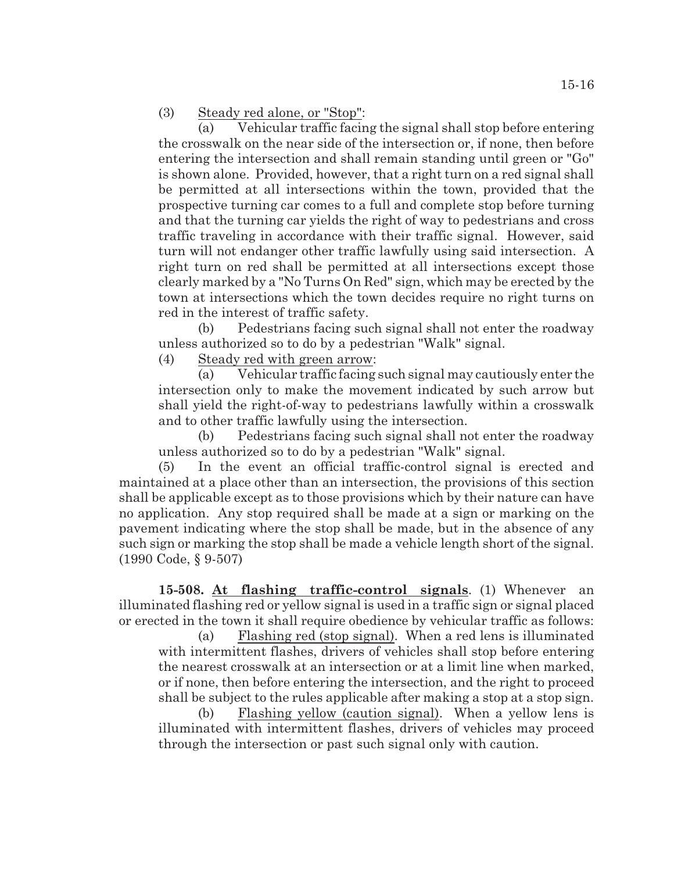(3) Steady red alone, or "Stop":

(a) Vehicular traffic facing the signal shall stop before entering the crosswalk on the near side of the intersection or, if none, then before entering the intersection and shall remain standing until green or "Go" is shown alone. Provided, however, that a right turn on a red signal shall be permitted at all intersections within the town, provided that the prospective turning car comes to a full and complete stop before turning and that the turning car yields the right of way to pedestrians and cross traffic traveling in accordance with their traffic signal. However, said turn will not endanger other traffic lawfully using said intersection. A right turn on red shall be permitted at all intersections except those clearly marked by a "No Turns On Red" sign, which may be erected by the town at intersections which the town decides require no right turns on red in the interest of traffic safety.

(b) Pedestrians facing such signal shall not enter the roadway unless authorized so to do by a pedestrian "Walk" signal.

(4) Steady red with green arrow:

(a) Vehicular traffic facing suchsignal may cautiously enter the intersection only to make the movement indicated by such arrow but shall yield the right-of-way to pedestrians lawfully within a crosswalk and to other traffic lawfully using the intersection.

(b) Pedestrians facing such signal shall not enter the roadway unless authorized so to do by a pedestrian "Walk" signal.

(5) In the event an official traffic-control signal is erected and maintained at a place other than an intersection, the provisions of this section shall be applicable except as to those provisions which by their nature can have no application. Any stop required shall be made at a sign or marking on the pavement indicating where the stop shall be made, but in the absence of any such sign or marking the stop shall be made a vehicle length short of the signal. (1990 Code, § 9-507)

**15-508. At flashing traffic-control signals**. (1) Whenever an illuminated flashing red or yellow signal is used in a traffic sign or signal placed or erected in the town it shall require obedience by vehicular traffic as follows:

(a) Flashing red (stop signal). When a red lens is illuminated with intermittent flashes, drivers of vehicles shall stop before entering the nearest crosswalk at an intersection or at a limit line when marked, or if none, then before entering the intersection, and the right to proceed shall be subject to the rules applicable after making a stop at a stop sign.

(b) Flashing yellow (caution signal). When a yellow lens is illuminated with intermittent flashes, drivers of vehicles may proceed through the intersection or past such signal only with caution.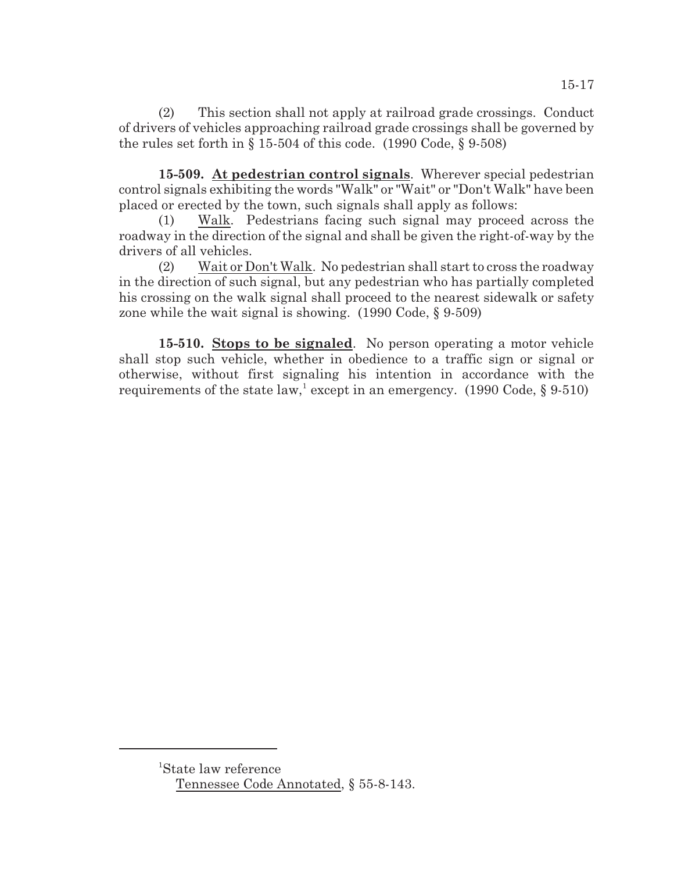(2) This section shall not apply at railroad grade crossings. Conduct of drivers of vehicles approaching railroad grade crossings shall be governed by the rules set forth in  $\S 15-504$  of this code. (1990 Code,  $\S 9-508$ )

**15-509. At pedestrian control signals**. Wherever special pedestrian control signals exhibiting the words "Walk" or "Wait" or "Don't Walk" have been placed or erected by the town, such signals shall apply as follows:

(1) Walk. Pedestrians facing such signal may proceed across the roadway in the direction of the signal and shall be given the right-of-way by the drivers of all vehicles.

(2) Wait or Don't Walk. No pedestrian shall start to cross the roadway in the direction of such signal, but any pedestrian who has partially completed his crossing on the walk signal shall proceed to the nearest sidewalk or safety zone while the wait signal is showing. (1990 Code, § 9-509)

**15-510. Stops to be signaled**. No person operating a motor vehicle shall stop such vehicle, whether in obedience to a traffic sign or signal or otherwise, without first signaling his intention in accordance with the requirements of the state law, except in an emergency. (1990 Code,  $\S$  9-510)

<sup>&</sup>lt;sup>1</sup>State law reference Tennessee Code Annotated, § 55-8-143.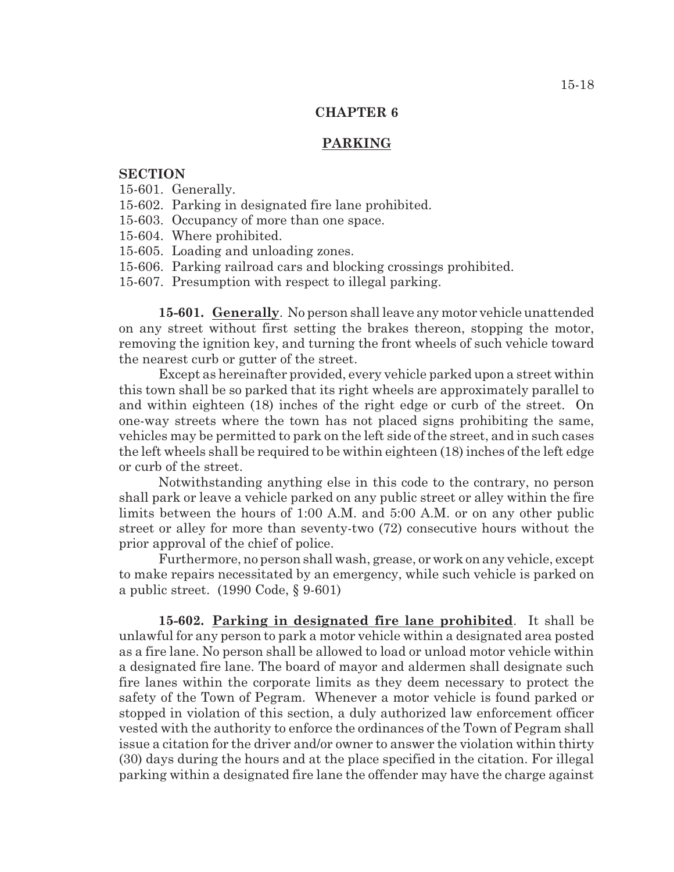#### **PARKING**

## **SECTION**

15-601. Generally.

- 15-602. Parking in designated fire lane prohibited.
- 15-603. Occupancy of more than one space.
- 15-604. Where prohibited.
- 15-605. Loading and unloading zones.
- 15-606. Parking railroad cars and blocking crossings prohibited.
- 15-607. Presumption with respect to illegal parking.

**15-601. Generally**. No person shall leave any motor vehicle unattended on any street without first setting the brakes thereon, stopping the motor, removing the ignition key, and turning the front wheels of such vehicle toward the nearest curb or gutter of the street.

Except as hereinafter provided, every vehicle parked upon a street within this town shall be so parked that its right wheels are approximately parallel to and within eighteen (18) inches of the right edge or curb of the street. On one-way streets where the town has not placed signs prohibiting the same, vehicles may be permitted to park on the left side of the street, and in such cases the left wheels shall be required to be within eighteen (18) inches of the left edge or curb of the street.

Notwithstanding anything else in this code to the contrary, no person shall park or leave a vehicle parked on any public street or alley within the fire limits between the hours of 1:00 A.M. and 5:00 A.M. or on any other public street or alley for more than seventy-two (72) consecutive hours without the prior approval of the chief of police.

Furthermore, no person shall wash, grease, or work on any vehicle, except to make repairs necessitated by an emergency, while such vehicle is parked on a public street. (1990 Code, § 9-601)

**15-602. Parking in designated fire lane prohibited**. It shall be unlawful for any person to park a motor vehicle within a designated area posted as a fire lane. No person shall be allowed to load or unload motor vehicle within a designated fire lane. The board of mayor and aldermen shall designate such fire lanes within the corporate limits as they deem necessary to protect the safety of the Town of Pegram. Whenever a motor vehicle is found parked or stopped in violation of this section, a duly authorized law enforcement officer vested with the authority to enforce the ordinances of the Town of Pegram shall issue a citation for the driver and/or owner to answer the violation within thirty (30) days during the hours and at the place specified in the citation. For illegal parking within a designated fire lane the offender may have the charge against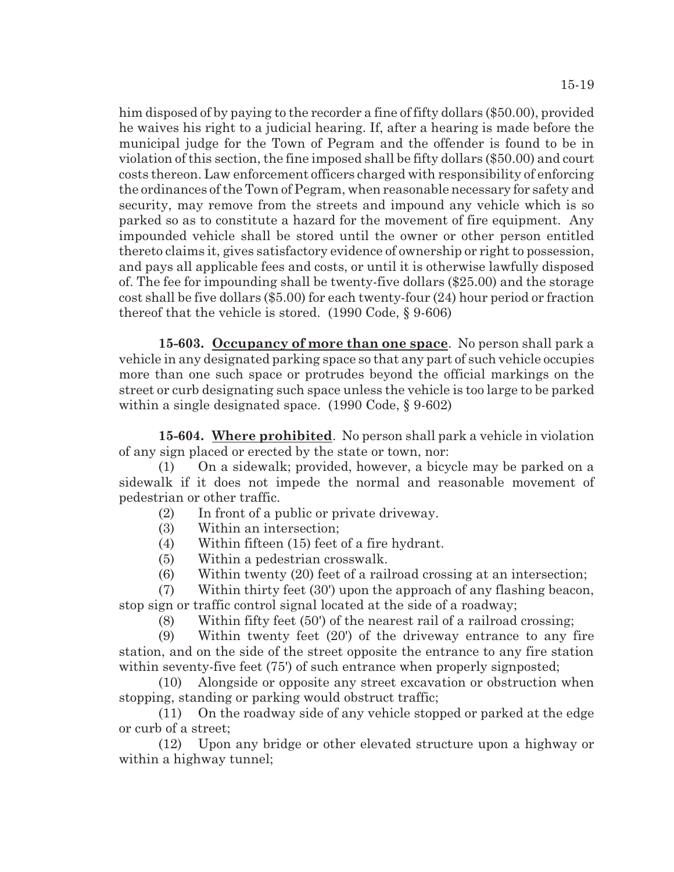him disposed of by paying to the recorder a fine of fifty dollars (\$50.00), provided he waives his right to a judicial hearing. If, after a hearing is made before the municipal judge for the Town of Pegram and the offender is found to be in violation of this section, the fine imposed shall be fifty dollars (\$50.00) and court costs thereon. Law enforcement officers charged with responsibility of enforcing the ordinances of the Town of Pegram, when reasonable necessary for safety and security, may remove from the streets and impound any vehicle which is so parked so as to constitute a hazard for the movement of fire equipment. Any impounded vehicle shall be stored until the owner or other person entitled thereto claims it, gives satisfactory evidence of ownership or right to possession, and pays all applicable fees and costs, or until it is otherwise lawfully disposed of. The fee for impounding shall be twenty-five dollars (\$25.00) and the storage cost shall be five dollars (\$5.00) for each twenty-four (24) hour period or fraction thereof that the vehicle is stored. (1990 Code, § 9-606)

**15-603. Occupancy of more than one space**. No person shall park a vehicle in any designated parking space so that any part of such vehicle occupies more than one such space or protrudes beyond the official markings on the street or curb designating such space unless the vehicle is too large to be parked within a single designated space. (1990 Code, § 9-602)

**15-604. Where prohibited**. No person shall park a vehicle in violation of any sign placed or erected by the state or town, nor:

(1) On a sidewalk; provided, however, a bicycle may be parked on a sidewalk if it does not impede the normal and reasonable movement of pedestrian or other traffic.

- (2) In front of a public or private driveway.
- (3) Within an intersection;
- (4) Within fifteen (15) feet of a fire hydrant.
- (5) Within a pedestrian crosswalk.
- (6) Within twenty (20) feet of a railroad crossing at an intersection;
- (7) Within thirty feet (30') upon the approach of any flashing beacon, stop sign or traffic control signal located at the side of a roadway;
	- (8) Within fifty feet (50') of the nearest rail of a railroad crossing;
- (9) Within twenty feet (20') of the driveway entrance to any fire station, and on the side of the street opposite the entrance to any fire station within seventy-five feet (75') of such entrance when properly signposted;
- (10) Alongside or opposite any street excavation or obstruction when stopping, standing or parking would obstruct traffic;
- (11) On the roadway side of any vehicle stopped or parked at the edge or curb of a street;

(12) Upon any bridge or other elevated structure upon a highway or within a highway tunnel;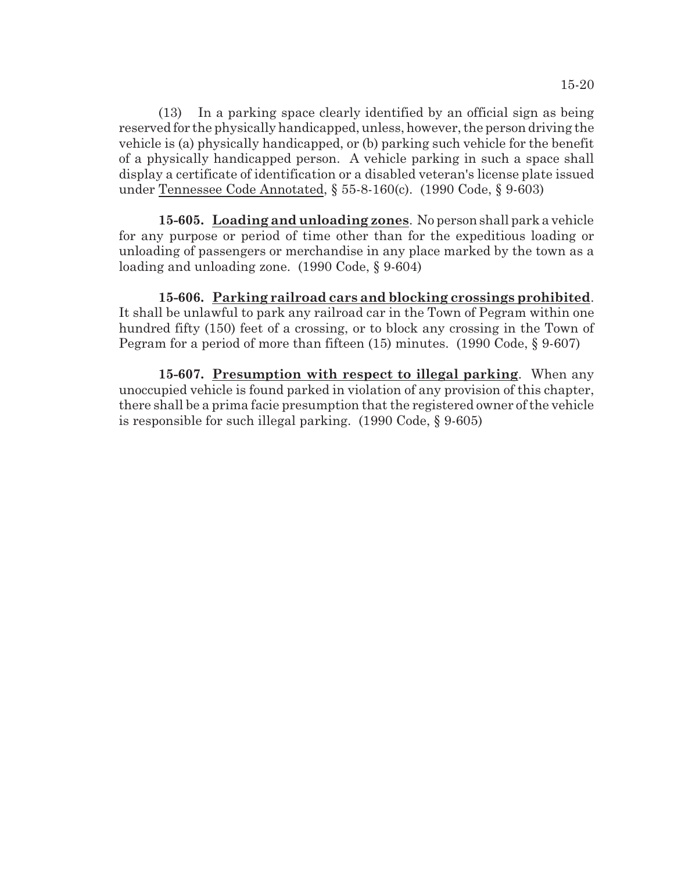(13) In a parking space clearly identified by an official sign as being reserved for the physically handicapped, unless, however, the person driving the vehicle is (a) physically handicapped, or (b) parking such vehicle for the benefit of a physically handicapped person. A vehicle parking in such a space shall display a certificate of identification or a disabled veteran's license plate issued under Tennessee Code Annotated, § 55-8-160(c). (1990 Code, § 9-603)

**15-605. Loading and unloading zones**. No person shall park a vehicle for any purpose or period of time other than for the expeditious loading or unloading of passengers or merchandise in any place marked by the town as a loading and unloading zone. (1990 Code, § 9-604)

**15-606. Parking railroad cars and blocking crossings prohibited**. It shall be unlawful to park any railroad car in the Town of Pegram within one hundred fifty (150) feet of a crossing, or to block any crossing in the Town of Pegram for a period of more than fifteen (15) minutes. (1990 Code, § 9-607)

**15-607. Presumption with respect to illegal parking**. When any unoccupied vehicle is found parked in violation of any provision of this chapter, there shall be a prima facie presumption that the registered owner of the vehicle is responsible for such illegal parking. (1990 Code, § 9-605)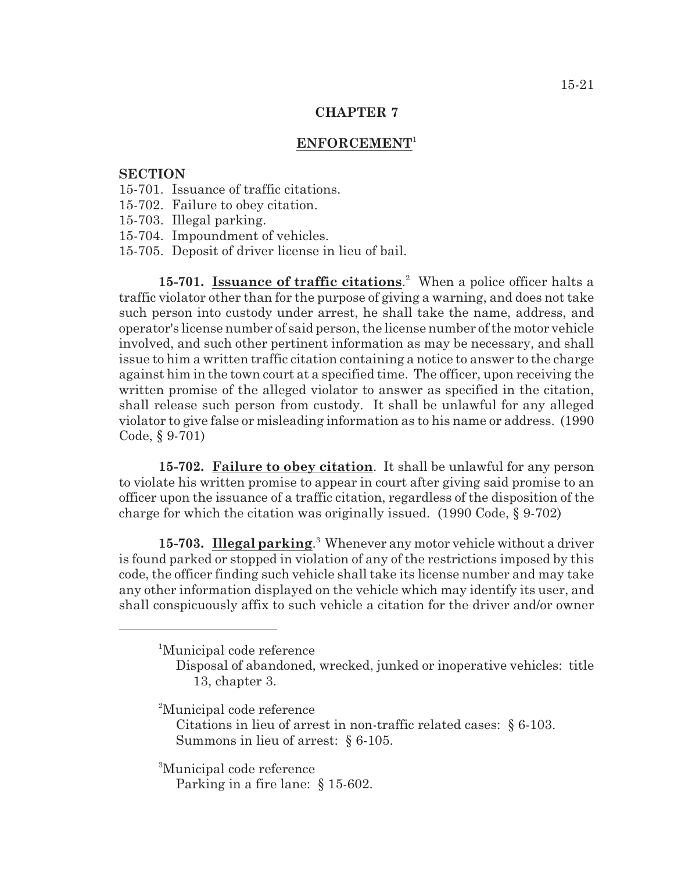## **ENFORCEMENT**<sup>1</sup>

### **SECTION**

- 15-701. Issuance of traffic citations.
- 15-702. Failure to obey citation.
- 15-703. Illegal parking.
- 15-704. Impoundment of vehicles.
- 15-705. Deposit of driver license in lieu of bail.

15-701. **Issuance of traffic citations**.<sup>2</sup> When a police officer halts a traffic violator other than for the purpose of giving a warning, and does not take such person into custody under arrest, he shall take the name, address, and operator's license number of said person, the license number of the motor vehicle involved, and such other pertinent information as may be necessary, and shall issue to him a written traffic citation containing a notice to answer to the charge against him in the town court at a specified time. The officer, upon receiving the written promise of the alleged violator to answer as specified in the citation, shall release such person from custody. It shall be unlawful for any alleged violator to give false or misleading information as to his name or address. (1990 Code, § 9-701)

**15-702. Failure to obey citation**. It shall be unlawful for any person to violate his written promise to appear in court after giving said promise to an officer upon the issuance of a traffic citation, regardless of the disposition of the charge for which the citation was originally issued. (1990 Code, § 9-702)

**15-703. Illegal parking**.<sup>3</sup> Whenever any motor vehicle without a driver is found parked or stopped in violation of any of the restrictions imposed by this code, the officer finding such vehicle shall take its license number and may take any other information displayed on the vehicle which may identify its user, and shall conspicuously affix to such vehicle a citation for the driver and/or owner

<sup>2</sup>Municipal code reference

Citations in lieu of arrest in non-traffic related cases: § 6-103. Summons in lieu of arrest: § 6-105.

<sup>3</sup>Municipal code reference

Parking in a fire lane: § 15-602.

<sup>&</sup>lt;sup>1</sup>Municipal code reference

Disposal of abandoned, wrecked, junked or inoperative vehicles: title 13, chapter 3.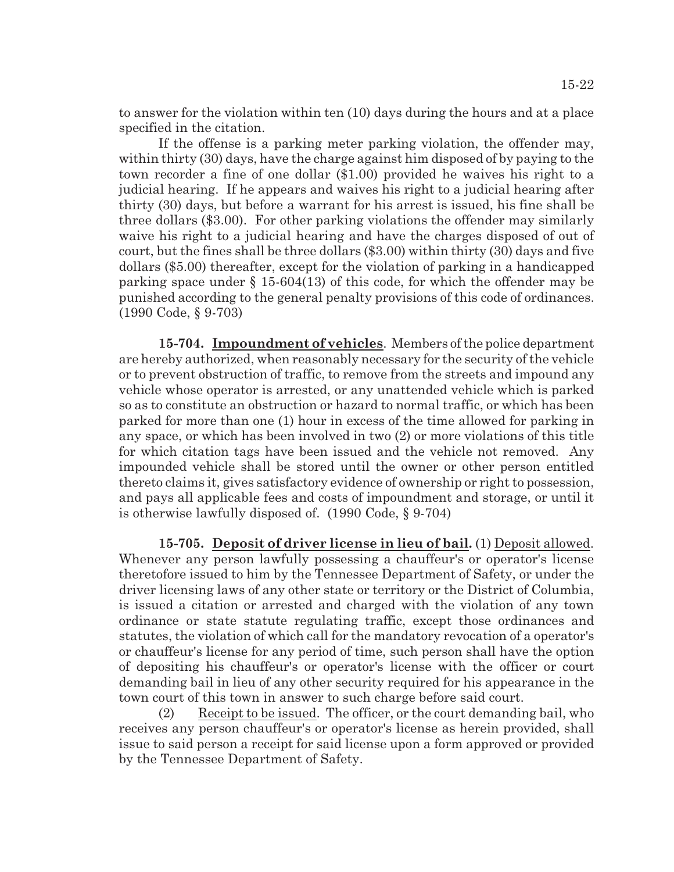to answer for the violation within ten (10) days during the hours and at a place specified in the citation.

If the offense is a parking meter parking violation, the offender may, within thirty (30) days, have the charge against him disposed of by paying to the town recorder a fine of one dollar (\$1.00) provided he waives his right to a judicial hearing. If he appears and waives his right to a judicial hearing after thirty (30) days, but before a warrant for his arrest is issued, his fine shall be three dollars (\$3.00). For other parking violations the offender may similarly waive his right to a judicial hearing and have the charges disposed of out of court, but the fines shall be three dollars (\$3.00) within thirty (30) days and five dollars (\$5.00) thereafter, except for the violation of parking in a handicapped parking space under § 15-604(13) of this code, for which the offender may be punished according to the general penalty provisions of this code of ordinances. (1990 Code, § 9-703)

**15-704. Impoundment of vehicles**. Members of the police department are hereby authorized, when reasonably necessary for the security of the vehicle or to prevent obstruction of traffic, to remove from the streets and impound any vehicle whose operator is arrested, or any unattended vehicle which is parked so as to constitute an obstruction or hazard to normal traffic, or which has been parked for more than one (1) hour in excess of the time allowed for parking in any space, or which has been involved in two (2) or more violations of this title for which citation tags have been issued and the vehicle not removed. Any impounded vehicle shall be stored until the owner or other person entitled thereto claims it, gives satisfactory evidence of ownership or right to possession, and pays all applicable fees and costs of impoundment and storage, or until it is otherwise lawfully disposed of. (1990 Code, § 9-704)

**15-705. Deposit of driver license in lieu of bail.** (1) Deposit allowed. Whenever any person lawfully possessing a chauffeur's or operator's license theretofore issued to him by the Tennessee Department of Safety, or under the driver licensing laws of any other state or territory or the District of Columbia, is issued a citation or arrested and charged with the violation of any town ordinance or state statute regulating traffic, except those ordinances and statutes, the violation of which call for the mandatory revocation of a operator's or chauffeur's license for any period of time, such person shall have the option of depositing his chauffeur's or operator's license with the officer or court demanding bail in lieu of any other security required for his appearance in the town court of this town in answer to such charge before said court.

(2) Receipt to be issued. The officer, or the court demanding bail, who receives any person chauffeur's or operator's license as herein provided, shall issue to said person a receipt for said license upon a form approved or provided by the Tennessee Department of Safety.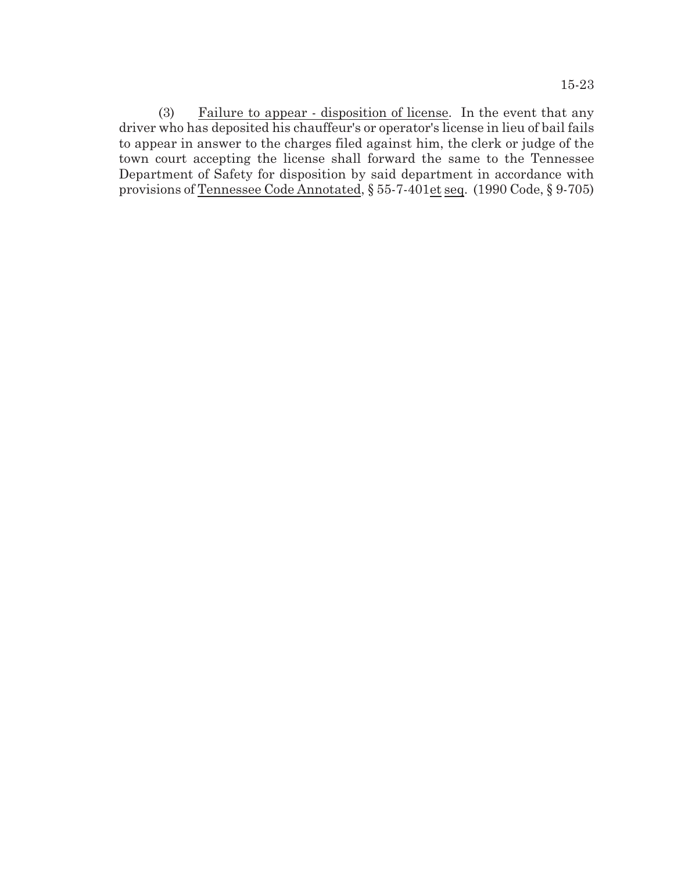(3)  $\frac{F \text{ailure to appear } - \text{disposition of license}}{F \text{ailure to a}}$ . In the event that any driver who has deposited his chauffeur's or operator's license in lieu of bail fails to appear in answer to the charges filed against him, the clerk or judge of the town court accepting the license shall forward the same to the Tennessee Department of Safety for disposition by said department in accordance with provisions of Tennessee Code Annotated, § 55-7-401et seq. (1990 Code, § 9-705)